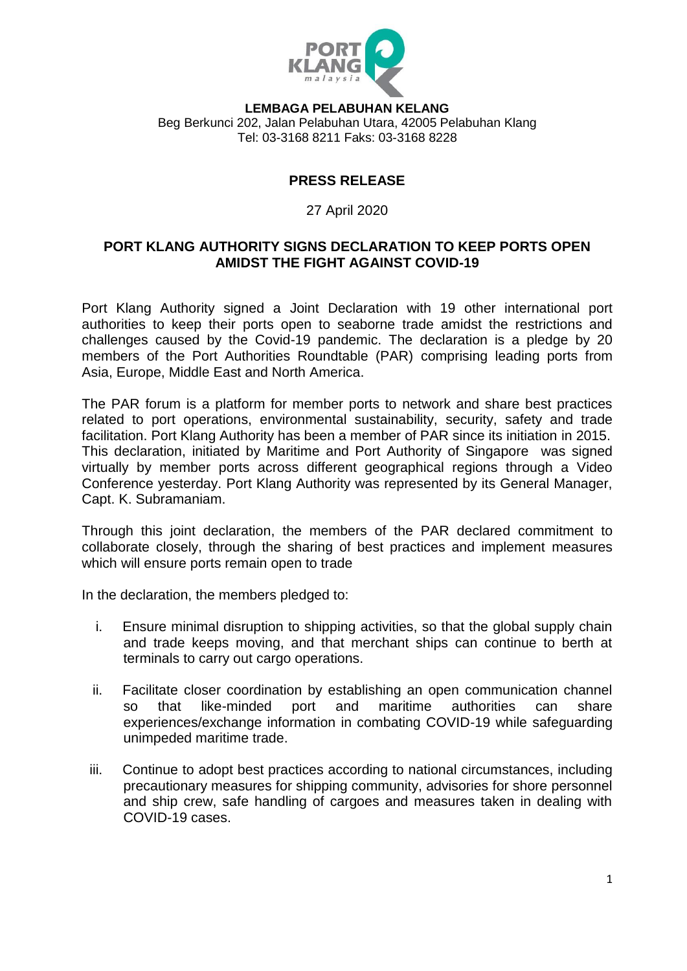

**LEMBAGA PELABUHAN KELANG** Beg Berkunci 202, Jalan Pelabuhan Utara, 42005 Pelabuhan Klang Tel: 03-3168 8211 Faks: 03-3168 8228

## **PRESS RELEASE**

## 27 April 2020

## **PORT KLANG AUTHORITY SIGNS DECLARATION TO KEEP PORTS OPEN AMIDST THE FIGHT AGAINST COVID-19**

Port Klang Authority signed a Joint Declaration with 19 other international port authorities to keep their ports open to seaborne trade amidst the restrictions and challenges caused by the Covid-19 pandemic. The declaration is a pledge by 20 members of the Port Authorities Roundtable (PAR) comprising leading ports from Asia, Europe, Middle East and North America.

The PAR forum is a platform for member ports to network and share best practices related to port operations, environmental sustainability, security, safety and trade facilitation. Port Klang Authority has been a member of PAR since its initiation in 2015. This declaration, initiated by Maritime and Port Authority of Singapore was signed virtually by member ports across different geographical regions through a Video Conference yesterday. Port Klang Authority was represented by its General Manager, Capt. K. Subramaniam.

Through this joint declaration, the members of the PAR declared commitment to collaborate closely, through the sharing of best practices and implement measures which will ensure ports remain open to trade

In the declaration, the members pledged to:

- i. Ensure minimal disruption to shipping activities, so that the global supply chain and trade keeps moving, and that merchant ships can continue to berth at terminals to carry out cargo operations.
- ii. Facilitate closer coordination by establishing an open communication channel so that like-minded port and maritime authorities can share experiences/exchange information in combating COVID-19 while safeguarding unimpeded maritime trade.
- iii. Continue to adopt best practices according to national circumstances, including precautionary measures for shipping community, advisories for shore personnel and ship crew, safe handling of cargoes and measures taken in dealing with COVID-19 cases.